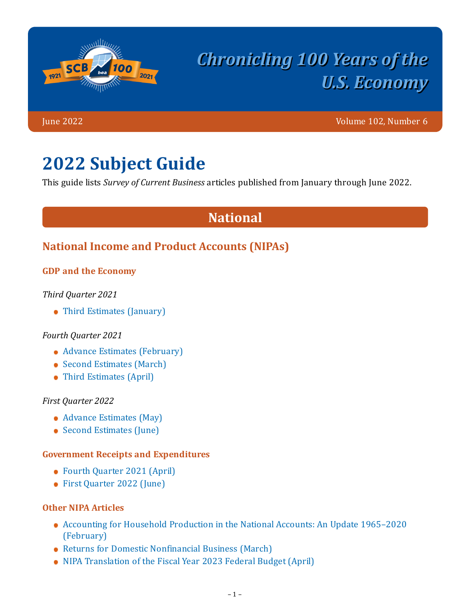

# *Chronicling 100 Years of the U.S. Economy*

June 2022 Volume 102, Number 6

# **2022 Subject Guide**

This guide lists *Survey of Current Business* articles published from January through June 2022.

# **National**

### **National Income and Product Accounts (NIPAs)**

#### **GDP and the Economy**

*Third Quarter 2021*

• [Third Estimates \(January\)](https://apps.bea.gov/scb/2022/01-january/0122-gdp-economy.htm)

#### *Fourth Quarter 2021*

- [Advance Estimates \(February\)](https://apps.bea.gov/scb/2022/02-february/0222-gdp-economy.htm)
- [Second Estimates \(March\)](https://apps.bea.gov/scb/2022/03-march/0322-gdp-economy.htm)
- [Third Estimates \(April\)](https://apps.bea.gov/scb/2022/04-april/0422-gdp-economy.htm)

#### *First Quarter 2022*

- [Advance Estimates \(May\)](https://apps.bea.gov/scb/2022/05-may/0522-gdp-economy.htm)
- [Second Estimates \(June\)](https://apps.bea.gov/scb/2022/06-june/0622-gdp-economy.htm)

#### **Government Receipts and Expenditures**

- [Fourth Quarter 2021 \(April\)](https://apps.bea.gov/scb/2022/04-april/0422-government-receipts-expenditures.htm)
- [First Quarter 2022 \(June\)](https://apps.bea.gov/scb/2022/06-june/0622-government-receipts-expenditures.htm)

#### **Other NIPA Articles**

- [Accounting for Household Production in the National Accounts: An Update 1965–2020](https://apps.bea.gov/scb/2022/02-february/0222-household-production.htm) (February)
- [Returns for Domestic Nonfinancial Business \(March\)](https://apps.bea.gov/scb/2022/03-march/0322-domestic-returns.htm)
- [NIPA Translation of the Fiscal Year 2023 Federal Budget \(April\)](https://apps.bea.gov/scb/2022/04-april/0422-federal-budget.htm)